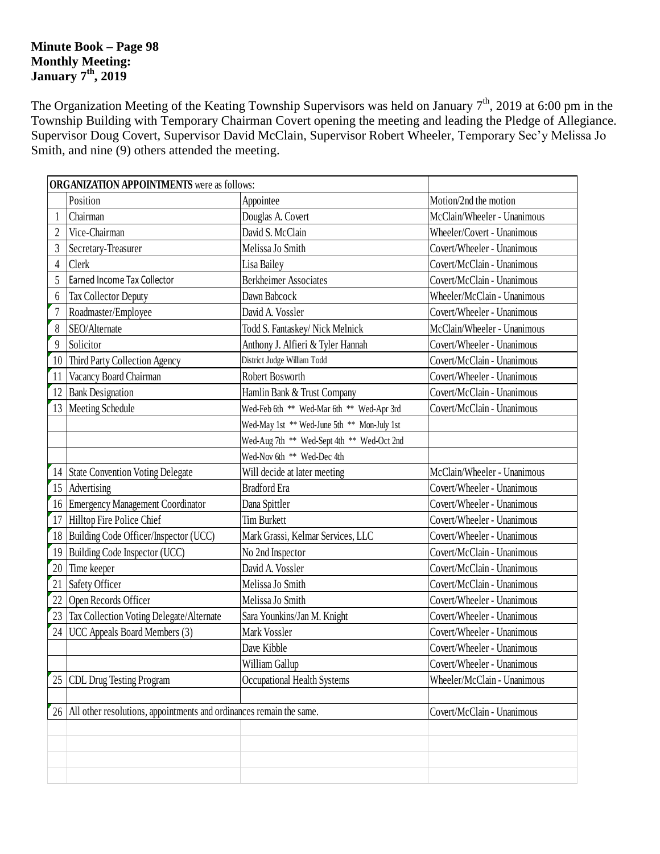## **Minute Book – Page 98 Monthly Meeting: January 7 th , 2019**

The Organization Meeting of the Keating Township Supervisors was held on January  $7<sup>th</sup>$ , 2019 at 6:00 pm in the Township Building with Temporary Chairman Covert opening the meeting and leading the Pledge of Allegiance. Supervisor Doug Covert, Supervisor David McClain, Supervisor Robert Wheeler, Temporary Sec'y Melissa Jo Smith, and nine (9) others attended the meeting.

|                | <b>ORGANIZATION APPOINTMENTS</b> were as follows:                          |                                             |                             |  |  |  |
|----------------|----------------------------------------------------------------------------|---------------------------------------------|-----------------------------|--|--|--|
|                | Position                                                                   | Appointee                                   | Motion/2nd the motion       |  |  |  |
|                | Chairman                                                                   | Douglas A. Covert                           | McClain/Wheeler - Unanimous |  |  |  |
| $\overline{2}$ | Vice-Chairman                                                              | David S. McClain                            | Wheeler/Covert - Unanimous  |  |  |  |
| 3              | Secretary-Treasurer                                                        | Melissa Jo Smith                            | Covert/Wheeler - Unanimous  |  |  |  |
| $\overline{4}$ | Clerk                                                                      | Lisa Bailey                                 | Covert/McClain - Unanimous  |  |  |  |
| 5              | Earned Income Tax Collector                                                | <b>Berkheimer Associates</b>                | Covert/McClain - Unanimous  |  |  |  |
| 6              | Tax Collector Deputy                                                       | Dawn Babcock                                | Wheeler/McClain - Unanimous |  |  |  |
| $\overline{7}$ | Roadmaster/Employee                                                        | David A. Vossler                            | Covert/Wheeler - Unanimous  |  |  |  |
| 8              | SEO/Alternate                                                              | Todd S. Fantaskey/ Nick Melnick             | McClain/Wheeler - Unanimous |  |  |  |
| 9              | Solicitor                                                                  | Anthony J. Alfieri & Tyler Hannah           | Covert/Wheeler - Unanimous  |  |  |  |
| 10             | Third Party Collection Agency                                              | District Judge William Todd                 | Covert/McClain - Unanimous  |  |  |  |
| 11             | Vacancy Board Chairman                                                     | Robert Bosworth                             | Covert/Wheeler - Unanimous  |  |  |  |
| 12             | <b>Bank Designation</b>                                                    | Hamlin Bank & Trust Company                 | Covert/McClain - Unanimous  |  |  |  |
| 13             | Meeting Schedule                                                           | Wed-Feb 6th ** Wed-Mar 6th ** Wed-Apr 3rd   | Covert/McClain - Unanimous  |  |  |  |
|                |                                                                            | Wed-May 1st ** Wed-June 5th ** Mon-July 1st |                             |  |  |  |
|                |                                                                            | Wed-Aug 7th ** Wed-Sept 4th ** Wed-Oct 2nd  |                             |  |  |  |
|                |                                                                            | Wed-Nov 6th ** Wed-Dec 4th                  |                             |  |  |  |
|                | 14 State Convention Voting Delegate                                        | Will decide at later meeting                | McClain/Wheeler - Unanimous |  |  |  |
|                | 15 Advertising                                                             | <b>Bradford Era</b>                         | Covert/Wheeler - Unanimous  |  |  |  |
| 16             | <b>Emergency Management Coordinator</b>                                    | Dana Spittler                               | Covert/Wheeler - Unanimous  |  |  |  |
| 17             | Hilltop Fire Police Chief                                                  | <b>Tim Burkett</b>                          | Covert/Wheeler - Unanimous  |  |  |  |
| 18             | Building Code Officer/Inspector (UCC)<br>Mark Grassi, Kelmar Services, LLC |                                             | Covert/Wheeler - Unanimous  |  |  |  |
| 19             | Building Code Inspector (UCC)                                              | No 2nd Inspector                            | Covert/McClain - Unanimous  |  |  |  |
| 20             | Time keeper                                                                | David A. Vossler                            | Covert/McClain - Unanimous  |  |  |  |
| 21             | Safety Officer                                                             | Melissa Jo Smith                            | Covert/McClain - Unanimous  |  |  |  |
| 22             | Open Records Officer                                                       | Melissa Jo Smith                            | Covert/Wheeler - Unanimous  |  |  |  |
| 23             | Tax Collection Voting Delegate/Alternate                                   | Sara Younkins/Jan M. Knight                 |                             |  |  |  |
| 24             | UCC Appeals Board Members (3)                                              | Mark Vossler                                | Covert/Wheeler - Unanimous  |  |  |  |
|                |                                                                            | Dave Kibble                                 | Covert/Wheeler - Unanimous  |  |  |  |
|                |                                                                            | William Gallup                              | Covert/Wheeler - Unanimous  |  |  |  |
| 25             | <b>CDL Drug Testing Program</b>                                            | Occupational Health Systems                 | Wheeler/McClain - Unanimous |  |  |  |
|                |                                                                            |                                             |                             |  |  |  |
|                | 26 All other resolutions, appointments and ordinances remain the same.     |                                             | Covert/McClain - Unanimous  |  |  |  |
|                |                                                                            |                                             |                             |  |  |  |
|                |                                                                            |                                             |                             |  |  |  |
|                |                                                                            |                                             |                             |  |  |  |
|                |                                                                            |                                             |                             |  |  |  |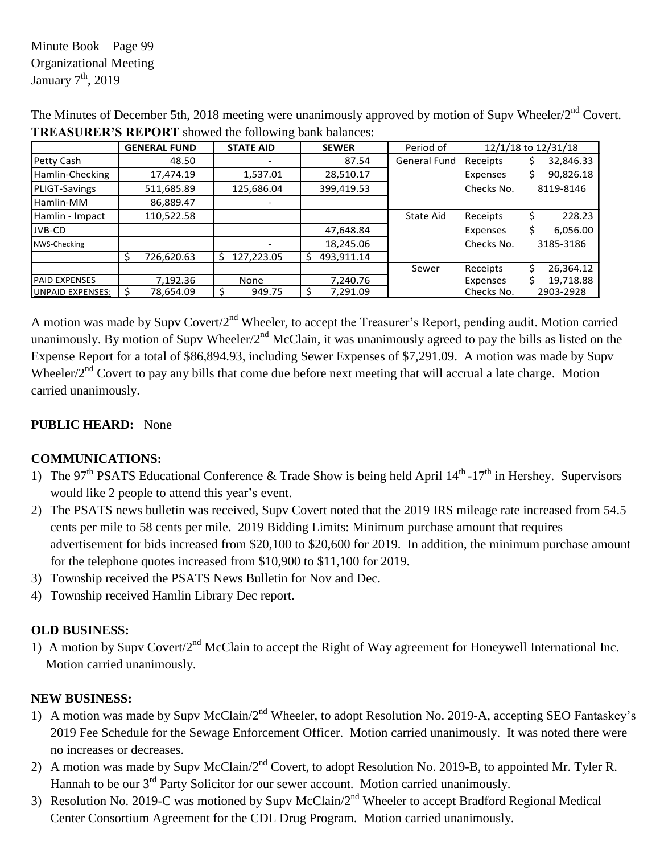Minute Book – Page 99 Organizational Meeting January  $7<sup>th</sup>$ , 2019

|                      |    | <b>GENERAL FUND</b> |            | <b>STATE AID</b> |    | <b>SEWER</b> | Period of    |  | 12/1/18 to 12/31/18 |   |           |  |
|----------------------|----|---------------------|------------|------------------|----|--------------|--------------|--|---------------------|---|-----------|--|
| Petty Cash           |    | 48.50               |            |                  |    | 87.54        | General Fund |  | Receipts            | Ş | 32,846.33 |  |
| Hamlin-Checking      |    | 17,474.19           |            | 1,537.01         |    | 28,510.17    |              |  | Expenses            | Ś | 90,826.18 |  |
| PLIGT-Savings        |    | 511,685.89          | 125,686.04 |                  |    | 399,419.53   |              |  | Checks No.          |   | 8119-8146 |  |
| Hamlin-MM            |    | 86,889.47           |            |                  |    |              |              |  |                     |   |           |  |
| Hamlin - Impact      |    | 110,522.58          |            |                  |    |              | State Aid    |  | Receipts            | S | 228.23    |  |
| JVB-CD               |    |                     |            |                  |    | 47,648.84    |              |  | Expenses            | S | 6,056.00  |  |
| NWS-Checking         |    |                     |            |                  |    | 18,245.06    |              |  | Checks No.          |   | 3185-3186 |  |
|                      | Š. | 726,620.63          | S.         | 127,223.05       | Ŝ. | 493,911.14   |              |  |                     |   |           |  |
|                      |    |                     |            |                  |    |              | Sewer        |  | Receipts            | Ś | 26,364.12 |  |
| <b>PAID EXPENSES</b> |    | 7,192.36            |            | None             |    | 7,240.76     |              |  | Expenses            |   | 19,718.88 |  |
| UNPAID EXPENSES:     |    | 78,654.09           |            | 949.75           |    | 7,291.09     |              |  | Checks No.          |   | 2903-2928 |  |

The Minutes of December 5th, 2018 meeting were unanimously approved by motion of Supv Wheeler/2<sup>nd</sup> Covert. **TREASURER'S REPORT** showed the following bank balances:

A motion was made by Supv Covert/2<sup>nd</sup> Wheeler, to accept the Treasurer's Report, pending audit. Motion carried unanimously. By motion of Supv Wheeler/ $2<sup>nd</sup>$  McClain, it was unanimously agreed to pay the bills as listed on the Expense Report for a total of \$86,894.93, including Sewer Expenses of \$7,291.09. A motion was made by Supv Wheeler/2<sup>nd</sup> Covert to pay any bills that come due before next meeting that will accrual a late charge. Motion carried unanimously.

# **PUBLIC HEARD:** None

## **COMMUNICATIONS:**

- 1) The 97<sup>th</sup> PSATS Educational Conference & Trade Show is being held April  $14<sup>th</sup>$ -17<sup>th</sup> in Hershey. Supervisors would like 2 people to attend this year's event.
- 2) The PSATS news bulletin was received, Supv Covert noted that the 2019 IRS mileage rate increased from 54.5 cents per mile to 58 cents per mile. 2019 Bidding Limits: Minimum purchase amount that requires advertisement for bids increased from \$20,100 to \$20,600 for 2019. In addition, the minimum purchase amount for the telephone quotes increased from \$10,900 to \$11,100 for 2019.
- 3) Township received the PSATS News Bulletin for Nov and Dec.
- 4) Township received Hamlin Library Dec report.

## **OLD BUSINESS:**

1) A motion by Supv Covert/2<sup>nd</sup> McClain to accept the Right of Way agreement for Honeywell International Inc. Motion carried unanimously.

## **NEW BUSINESS:**

- 1) A motion was made by Supv McClain/2<sup>nd</sup> Wheeler, to adopt Resolution No. 2019-A, accepting SEO Fantaskey's 2019 Fee Schedule for the Sewage Enforcement Officer. Motion carried unanimously. It was noted there were no increases or decreases.
- 2) A motion was made by Supv McClain/2<sup>nd</sup> Covert, to adopt Resolution No. 2019-B, to appointed Mr. Tyler R. Hannah to be our 3<sup>rd</sup> Party Solicitor for our sewer account. Motion carried unanimously.
- 3) Resolution No. 2019-C was motioned by Supv McClain/2<sup>nd</sup> Wheeler to accept Bradford Regional Medical Center Consortium Agreement for the CDL Drug Program. Motion carried unanimously.